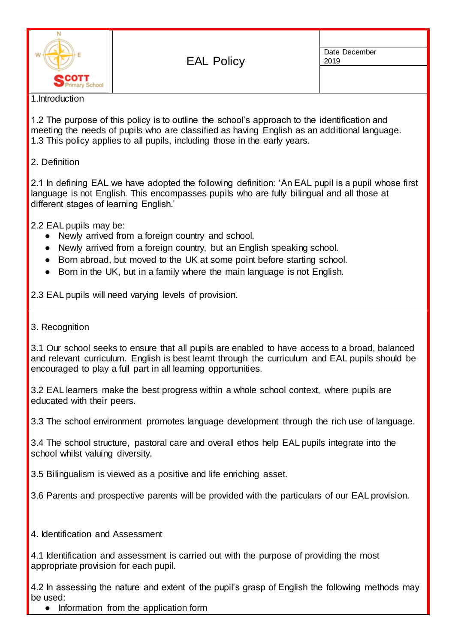

Date December 2019

#### 1.Introduction

1.2 The purpose of this policy is to outline the school's approach to the identification and meeting the needs of pupils who are classified as having English as an additional language. 1.3 This policy applies to all pupils, including those in the early years.

### 2. Definition

2.1 In defining EAL we have adopted the following definition: 'An EAL pupil is a pupil whose first language is not English. This encompasses pupils who are fully bilingual and all those at different stages of learning English.'

2.2 EAL pupils may be:

- Newly arrived from a foreign country and school.
- Newly arrived from a foreign country, but an English speaking school.
- Born abroad, but moved to the UK at some point before starting school.
- Born in the UK, but in a family where the main language is not English.

2.3 EAL pupils will need varying levels of provision.

### 3. Recognition

3.1 Our school seeks to ensure that all pupils are enabled to have access to a broad, balanced and relevant curriculum. English is best learnt through the curriculum and EAL pupils should be encouraged to play a full part in all learning opportunities.

3.2 EAL learners make the best progress within a whole school context, where pupils are educated with their peers.

3.3 The school environment promotes language development through the rich use of language.

3.4 The school structure, pastoral care and overall ethos help EAL pupils integrate into the school whilst valuing diversity.

3.5 Bilingualism is viewed as a positive and life enriching asset.

3.6 Parents and prospective parents will be provided with the particulars of our EAL provision.

4. Identification and Assessment

4.1 Identification and assessment is carried out with the purpose of providing the most appropriate provision for each pupil.

4.2 In assessing the nature and extent of the pupil's grasp of English the following methods may be used:

• Information from the application form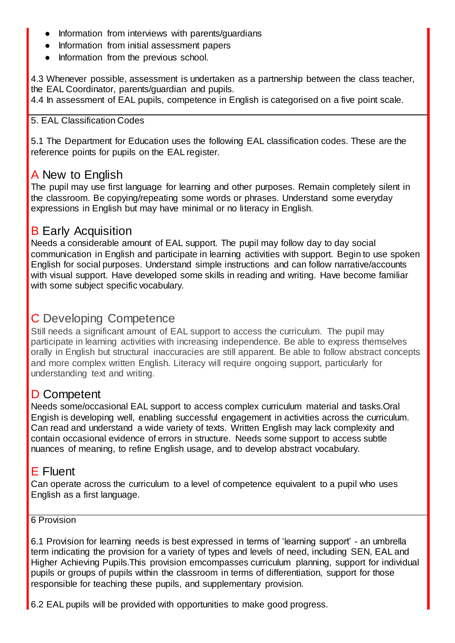- Information from interviews with parents/guardians
- Information from initial assessment papers
- Information from the previous school.

4.3 Whenever possible, assessment is undertaken as a partnership between the class teacher, the EAL Coordinator, parents/guardian and pupils.

4.4 In assessment of EAL pupils, competence in English is categorised on a five point scale.

### 5. EAL Classification Codes

5.1 The Department for Education uses the following EAL classification codes. These are the reference points for pupils on the EAL register.

# A New to English

The pupil may use first language for learning and other purposes. Remain completely silent in the classroom. Be copying/repeating some words or phrases. Understand some everyday expressions in English but may have minimal or no literacy in English.

# **B Early Acquisition**

Needs a considerable amount of EAL support. The pupil may follow day to day social communication in English and participate in learning activities with support. Begin to use spoken English for social purposes. Understand simple instructions and can follow narrative/accounts with visual support. Have developed some skills in reading and writing. Have become familiar with some subject specific vocabulary.

# C Developing Competence

Still needs a significant amount of EAL support to access the curriculum. The pupil may participate in learning activities with increasing independence. Be able to express themselves orally in English but structural inaccuracies are still apparent. Be able to follow abstract concepts and more complex written English. Literacy will require ongoing support, particularly for understanding text and writing.

# D Competent

Needs some/occasional EAL support to access complex curriculum material and tasks.Oral Engish is developing well, enabling successful engagement in activities across the curriculum. Can read and understand a wide variety of texts. Written English may lack complexity and contain occasional evidence of errors in structure. Needs some support to access subtle nuances of meaning, to refine English usage, and to develop abstract vocabulary.

# E Fluent

Can operate across the curriculum to a level of competence equivalent to a pupil who uses English as a first language.

### 6 Provision

6.1 Provision for learning needs is best expressed in terms of 'learning support' - an umbrella term indicating the provision for a variety of types and levels of need, including SEN, EAL and Higher Achieving Pupils.This provision emcompasses curriculum planning, support for individual pupils or groups of pupils within the classroom in terms of differentiation, support for those responsible for teaching these pupils, and supplementary provision.

6.2 EAL pupils will be provided with opportunities to make good progress.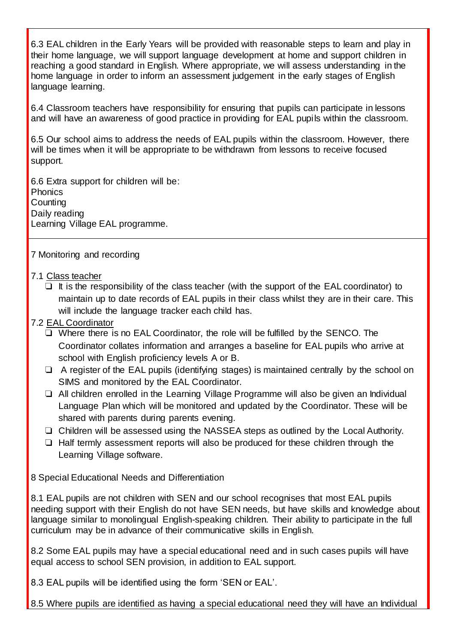6.3 EAL children in the Early Years will be provided with reasonable steps to learn and play in their home language, we will support language development at home and support children in reaching a good standard in English. Where appropriate, we will assess understanding in the home language in order to inform an assessment judgement in the early stages of English language learning.

6.4 Classroom teachers have responsibility for ensuring that pupils can participate in lessons and will have an awareness of good practice in providing for EAL pupils within the classroom.

6.5 Our school aims to address the needs of EAL pupils within the classroom. However, there will be times when it will be appropriate to be withdrawn from lessons to receive focused support.

6.6 Extra support for children will be: **Phonics Counting** Daily reading Learning Village EAL programme.

### 7 Monitoring and recording

#### 7.1 Class teacher

- $\Box$  It is the responsibility of the class teacher (with the support of the EAL coordinator) to maintain up to date records of EAL pupils in their class whilst they are in their care. This will include the language tracker each child has.
- 7.2 EAL Coordinator
	- ❏ Where there is no EAL Coordinator, the role will be fulfilled by the SENCO. The Coordinator collates information and arranges a baseline for EAL pupils who arrive at school with English proficiency levels A or B.
	- ❏ A register of the EAL pupils (identifying stages) is maintained centrally by the school on SIMS and monitored by the EAL Coordinator.
	- ❏ All children enrolled in the Learning Village Programme will also be given an Individual Language Plan which will be monitored and updated by the Coordinator. These will be shared with parents during parents evening.
	- ❏ Children will be assessed using the NASSEA steps as outlined by the Local Authority.
	- ❏ Half termly assessment reports will also be produced for these children through the Learning Village software.

8 Special Educational Needs and Differentiation

8.1 EAL pupils are not children with SEN and our school recognises that most EAL pupils needing support with their English do not have SEN needs, but have skills and knowledge about language similar to monolingual English-speaking children. Their ability to participate in the full curriculum may be in advance of their communicative skills in English.

8.2 Some EAL pupils may have a special educational need and in such cases pupils will have equal access to school SEN provision, in addition to EAL support.

8.3 EAL pupils will be identified using the form 'SEN or EAL'.

8.5 Where pupils are identified as having a special educational need they will have an Individual